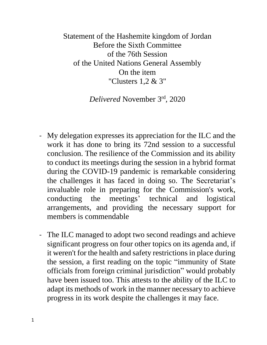Statement of the Hashemite kingdom of Jordan Before the Sixth Committee of the 76th Session of the United Nations General Assembly On the item "Clusters 1,2 & 3"

*Delivered* November 3rd, 2020

- My delegation expresses its appreciation for the ILC and the work it has done to bring its 72nd session to a successful conclusion. The resilience of the Commission and its ability to conduct its meetings during the session in a hybrid format during the COVID-19 pandemic is remarkable considering the challenges it has faced in doing so. The Secretariat's invaluable role in preparing for the Commission's work, conducting the meetings' technical and logistical arrangements, and providing the necessary support for members is commendable
- The ILC managed to adopt two second readings and achieve significant progress on four other topics on its agenda and, if it weren't for the health and safety restrictions in place during the session, a first reading on the topic "immunity of State officials from foreign criminal jurisdiction" would probably have been issued too. This attests to the ability of the ILC to adapt its methods of work in the manner necessary to achieve progress in its work despite the challenges it may face.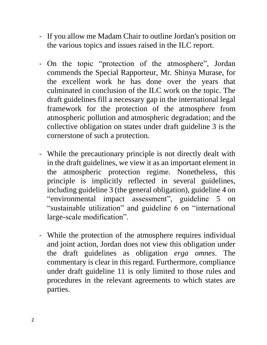- If you allow me Madam Chair to outline Jordan's position on the various topics and issues raised in the ILC report.
- On the topic "protection of the atmosphere", Jordan commends the Special Rapporteur, Mr. Shinya Murase, for the excellent work he has done over the years that culminated in conclusion of the ILC work on the topic. The draft guidelines fill a necessary gap in the international legal framework for the protection of the atmosphere from atmospheric pollution and atmospheric degradation; and the collective obligation on states under draft guideline 3 is the cornerstone of such a protection.
- While the precautionary principle is not directly dealt with in the draft guidelines, we view it as an important element in the atmospheric protection regime. Nonetheless, this principle is implicitly reflected in several guidelines, including guideline 3 (the general obligation), guideline 4 on "environmental impact assessment", guideline 5 on "sustainable utilization" and guideline 6 on "international large-scale modification".
- While the protection of the atmosphere requires individual and joint action, Jordan does not view this obligation under the draft guidelines as obligation *erga omnes*. The commentary is clear in this regard. Furthermore, compliance under draft guideline 11 is only limited to those rules and procedures in the relevant agreements to which states are parties.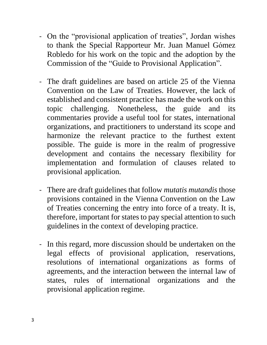- On the "provisional application of treaties", Jordan wishes to thank the Special Rapporteur Mr. Juan Manuel Gómez Robledo for his work on the topic and the adoption by the Commission of the "Guide to Provisional Application".
- The draft guidelines are based on article 25 of the Vienna Convention on the Law of Treaties. However, the lack of established and consistent practice has made the work on this topic challenging. Nonetheless, the guide and its commentaries provide a useful tool for states, international organizations, and practitioners to understand its scope and harmonize the relevant practice to the furthest extent possible. The guide is more in the realm of progressive development and contains the necessary flexibility for implementation and formulation of clauses related to provisional application.
- There are draft guidelines that follow *mutatis mutandis* those provisions contained in the Vienna Convention on the Law of Treaties concerning the entry into force of a treaty. It is, therefore, important for states to pay special attention to such guidelines in the context of developing practice.
- In this regard, more discussion should be undertaken on the legal effects of provisional application, reservations, resolutions of international organizations as forms of agreements, and the interaction between the internal law of states, rules of international organizations and the provisional application regime.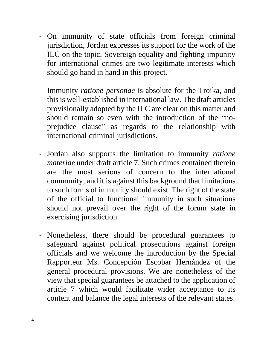- On immunity of state officials from foreign criminal jurisdiction, Jordan expresses its support for the work of the ILC on the topic. Sovereign equality and fighting impunity for international crimes are two legitimate interests which should go hand in hand in this project.
- Immunity *ratione personae* is absolute for the Troika, and this is well-established in international law. The draft articles provisionally adopted by the ILC are clear on this matter and should remain so even with the introduction of the "noprejudice clause" as regards to the relationship with international criminal jurisdictions.
- Jordan also supports the limitation to immunity *ratione materiae* under draft article 7. Such crimes contained therein are the most serious of concern to the international community; and it is against this background that limitations to such forms of immunity should exist. The right of the state of the official to functional immunity in such situations should not prevail over the right of the forum state in exercising jurisdiction.
- Nonetheless, there should be procedural guarantees to safeguard against political prosecutions against foreign officials and we welcome the introduction by the Special Rapporteur Ms. Concepción Escobar Hernández of the general procedural provisions. We are nonetheless of the view that special guarantees be attached to the application of article 7 which would facilitate wider acceptance to its content and balance the legal interests of the relevant states.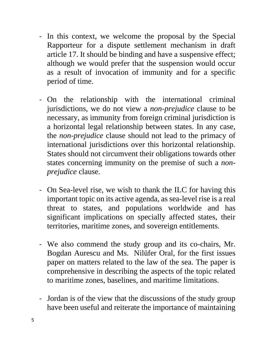- In this context, we welcome the proposal by the Special Rapporteur for a dispute settlement mechanism in draft article 17. It should be binding and have a suspensive effect; although we would prefer that the suspension would occur as a result of invocation of immunity and for a specific period of time.
- On the relationship with the international criminal jurisdictions, we do not view a *non-prejudice* clause to be necessary, as immunity from foreign criminal jurisdiction is a horizontal legal relationship between states. In any case, the *non-prejudice* clause should not lead to the primacy of international jurisdictions over this horizontal relationship. States should not circumvent their obligations towards other states concerning immunity on the premise of such a *nonprejudice* clause.
- On Sea-level rise, we wish to thank the ILC for having this important topic on its active agenda, as sea-level rise is a real threat to states, and populations worldwide and has significant implications on specially affected states, their territories, maritime zones, and sovereign entitlements.
- We also commend the study group and its co-chairs, Mr. Bogdan Aurescu and Ms. Nilüfer Oral, for the first issues paper on matters related to the law of the sea. The paper is comprehensive in describing the aspects of the topic related to maritime zones, baselines, and maritime limitations.
- Jordan is of the view that the discussions of the study group have been useful and reiterate the importance of maintaining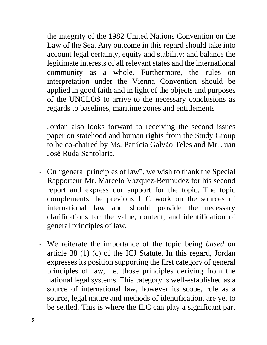the integrity of the 1982 United Nations Convention on the Law of the Sea. Any outcome in this regard should take into account legal certainty, equity and stability; and balance the legitimate interests of all relevant states and the international community as a whole. Furthermore, the rules on interpretation under the Vienna Convention should be applied in good faith and in light of the objects and purposes of the UNCLOS to arrive to the necessary conclusions as regards to baselines, maritime zones and entitlements

- Jordan also looks forward to receiving the second issues paper on statehood and human rights from the Study Group to be co-chaired by Ms. Patrícia Galvão Teles and Mr. Juan José Ruda Santolaria.
- On "general principles of law", we wish to thank the Special Rapporteur Mr. Marcelo Vázquez-Bermúdez for his second report and express our support for the topic. The topic complements the previous ILC work on the sources of international law and should provide the necessary clarifications for the value, content, and identification of general principles of law.
- We reiterate the importance of the topic being *based* on article 38 (1) (c) of the ICJ Statute. In this regard, Jordan expresses its position supporting the first category of general principles of law, i.e. those principles deriving from the national legal systems. This category is well-established as a source of international law, however its scope, role as a source, legal nature and methods of identification, are yet to be settled. This is where the ILC can play a significant part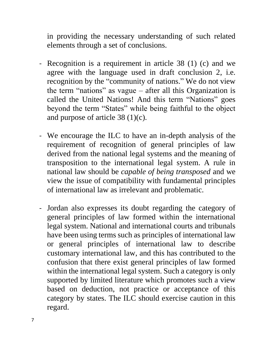in providing the necessary understanding of such related elements through a set of conclusions.

- Recognition is a requirement in article 38 (1) (c) and we agree with the language used in draft conclusion 2, i.e. recognition by the "community of nations." We do not view the term "nations" as vague  $-$  after all this Organization is called the United Nations! And this term "Nations" goes beyond the term "States" while being faithful to the object and purpose of article 38 (1)(c).
- We encourage the ILC to have an in-depth analysis of the requirement of recognition of general principles of law derived from the national legal systems and the meaning of transposition to the international legal system. A rule in national law should be *capable of being transposed* and we view the issue of compatibility with fundamental principles of international law as irrelevant and problematic.
- Jordan also expresses its doubt regarding the category of general principles of law formed within the international legal system. National and international courts and tribunals have been using terms such as principles of international law or general principles of international law to describe customary international law, and this has contributed to the confusion that there exist general principles of law formed within the international legal system. Such a category is only supported by limited literature which promotes such a view based on deduction, not practice or acceptance of this category by states. The ILC should exercise caution in this regard.